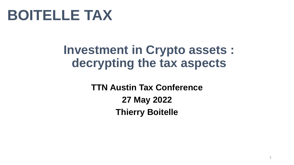

#### **Investment in Crypto assets : decrypting the tax aspects**

**TTN Austin Tax Conference 27 May 2022 Thierry Boitelle**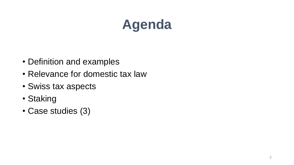## **Agenda**

- Definition and examples
- Relevance for domestic tax law
- Swiss tax aspects
- Staking
- Case studies (3)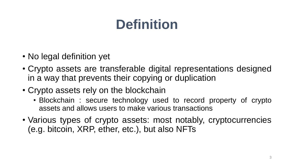### **Definition**

- No legal definition yet
- Crypto assets are transferable digital representations designed in a way that prevents their copying or duplication
- Crypto assets rely on the blockchain
	- Blockchain : secure technology used to record property of crypto assets and allows users to make various transactions
- Various types of crypto assets: most notably, cryptocurrencies (e.g. bitcoin, XRP, ether, etc.), but also NFTs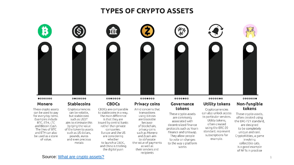#### **TYPES OF CRYPTO ASSETS**



These crypto assets can be used to pay for everyday items. Examples include BTC, ETH, LTC and Bitcoin Cash. The likes of BTC and ETH can also be used as a store of value.

Cryptocurrencies can be volatile, but stablecoins such as USDT aim to eliminate this by tying the value of the token to assets such as US dollars.

pounds, euros

and even precious

metals

**CBDCs** 

CBDCs are comparable to stablecoins in a way. The main difference is that they are issued by central banks rather than private companies. Europe and the US are considering whether to launch a CBDC. and China is trialling the digital yuan

#### **Privacy coins**

Amid concerns that transactions using Bitcoin are traceable because of blockchain, privacy coins such as Monero and Zcash aim to obfuscate the value of payments as well as their senders and recipients

#### Governance tokens

These crypto assets are commonly associated with decentralized finance protocols such as Yearn Finance and Uniswap. They allow people to vote on changes to the way a platform works

**Utility tokens** 

Cryptocurrencies can also unlock access to particular services. Utility tokens. often created using the ERC-20 standard, represent subscriptions for example.

#### Non-fungible tokens

These crypto assets, often created using the ERC-721 standard, are designed to be completely unique and rare. CryptoKitties, a game involving collectible cats, is a good example of NFTs in practice

Source: What [are crypto assets?](https://currency.com/what-are-crypto-assets)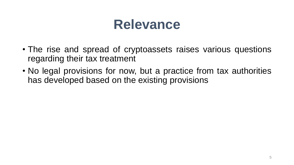### **Relevance**

- The rise and spread of cryptoassets raises various questions regarding their tax treatment
- No legal provisions for now, but a practice from tax authorities has developed based on the existing provisions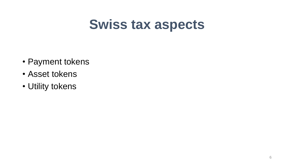### **Swiss tax aspects**

- Payment tokens
- Asset tokens
- Utility tokens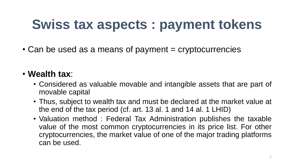### **Swiss tax aspects : payment tokens**

 $\cdot$  Can be used as a means of payment = cryptocurrencies

#### • **Wealth tax**:

- Considered as valuable movable and intangible assets that are part of movable capital
- Thus, subject to wealth tax and must be declared at the market value at the end of the tax period (cf. art. 13 al. 1 and 14 al. 1 LHID)
- Valuation method : Federal Tax Administration publishes the taxable value of the most common cryptocurrencies in its price list. For other cryptocurrencies, the market value of one of the major trading platforms can be used.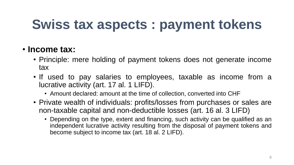## **Swiss tax aspects : payment tokens**

#### • **Income tax:**

- Principle: mere holding of payment tokens does not generate income tax
- If used to pay salaries to employees, taxable as income from a lucrative activity (art. 17 al. 1 LIFD).
	- Amount declared: amount at the time of collection, converted into CHF
- Private wealth of individuals: profits/losses from purchases or sales are non-taxable capital and non-deductible losses (art. 16 al. 3 LIFD)
	- Depending on the type, extent and financing, such activity can be qualified as an independent lucrative activity resulting from the disposal of payment tokens and become subject to income tax (art. 18 al. 2 LIFD).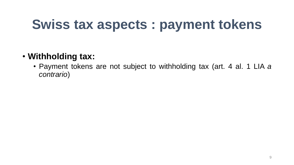### **Swiss tax aspects : payment tokens**

#### • **Withholding tax:**

• Payment tokens are not subject to withholding tax (art. 4 al. 1 LIA *a contrario*)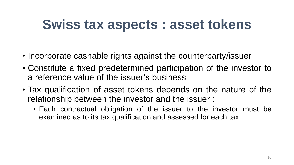### **Swiss tax aspects : asset tokens**

- Incorporate cashable rights against the counterparty/issuer
- Constitute a fixed predetermined participation of the investor to a reference value of the issuer's business
- Tax qualification of asset tokens depends on the nature of the relationship between the investor and the issuer :
	- Each contractual obligation of the issuer to the investor must be examined as to its tax qualification and assessed for each tax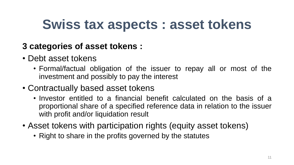### **Swiss tax aspects : asset tokens**

#### **3 categories of asset tokens :**

- Debt asset tokens
	- Formal/factual obligation of the issuer to repay all or most of the investment and possibly to pay the interest
- Contractually based asset tokens
	- Investor entitled to a financial benefit calculated on the basis of a proportional share of a specified reference data in relation to the issuer with profit and/or liquidation result
- Asset tokens with participation rights (equity asset tokens)
	- Right to share in the profits governed by the statutes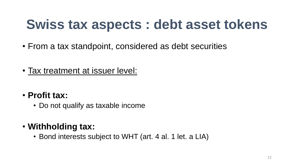### **Swiss tax aspects : debt asset tokens**

- From a tax standpoint, considered as debt securities
- Tax treatment at issuer level:
- **Profit tax:**
	- Do not qualify as taxable income
- **Withholding tax:**
	- Bond interests subject to WHT (art. 4 al. 1 let. a LIA)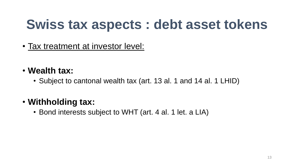### **Swiss tax aspects : debt asset tokens**

- Tax treatment at investor level:
- **Wealth tax:**
	- Subject to cantonal wealth tax (art. 13 al. 1 and 14 al. 1 LHID)

#### • **Withholding tax:**

• Bond interests subject to WHT (art. 4 al. 1 let. a LIA)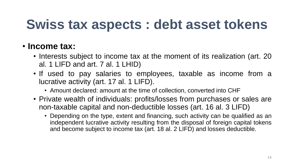### **Swiss tax aspects : debt asset tokens**

#### • **Income tax:**

- Interests subject to income tax at the moment of its realization (art. 20 al. 1 LIFD and art. 7 al. 1 LHID)
- If used to pay salaries to employees, taxable as income from a lucrative activity (art. 17 al. 1 LIFD).
	- Amount declared: amount at the time of collection, converted into CHF
- Private wealth of individuals: profits/losses from purchases or sales are non-taxable capital and non-deductible losses (art. 16 al. 3 LIFD)
	- Depending on the type, extent and financing, such activity can be qualified as an independent lucrative activity resulting from the disposal of foreign capital tokens and become subject to income tax (art. 18 al. 2 LIFD) and losses deductible.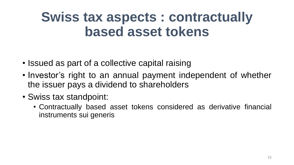- Issued as part of a collective capital raising
- Investor's right to an annual payment independent of whether the issuer pays a dividend to shareholders
- Swiss tax standpoint:
	- Contractually based asset tokens considered as derivative financial instruments sui generis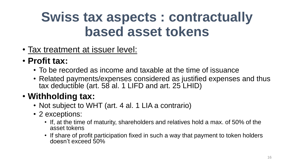- Tax treatment at issuer level:
- **Profit tax:**
	- To be recorded as income and taxable at the time of issuance
	- Related payments/expenses considered as justified expenses and thus tax deductible (art. 58 al. 1 LIFD and art. 25 LHID)

#### • **Withholding tax:**

- Not subject to WHT (art. 4 al. 1 LIA a contrario)
- 2 exceptions:
	- If, at the time of maturity, shareholders and relatives hold a max. of 50% of the asset tokens
	- If share of profit participation fixed in such a way that payment to token holders doesn't exceed 50%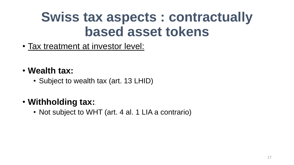- Tax treatment at investor level:
- **Wealth tax:**
	- Subject to wealth tax (art. 13 LHID)

#### • **Withholding tax:**.

• Not subject to WHT (art. 4 al. 1 LIA a contrario)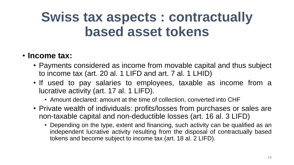#### • **Income tax:**

- Payments considered as income from movable capital and thus subject to income tax (art. 20 al. 1 LIFD and art. 7 al. 1 LHID)
- If used to pay salaries to employees, taxable as income from a lucrative activity (art. 17 al. 1 LIFD).
	- Amount declared: amount at the time of collection, converted into CHF
- Private wealth of individuals: profits/losses from purchases or sales are non-taxable capital and non-deductible losses (art. 16 al. 3 LIFD)
	- Depending on the type, extent and financing, such activity can be qualified as an independent lucrative activity resulting from the disposal of contractually based tokens and become subject to income tax (art. 18 al. 2 LIFD).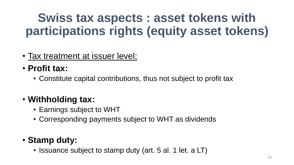### **Swiss tax aspects : asset tokens with participations rights (equity asset tokens)**

- Tax treatment at issuer level:
- **Profit tax:**
	- Constitute capital contributions, thus not subject to profit tax

#### • **Withholding tax:**

- Earnings subject to WHT
- Corresponding payments subject to WHT as dividends

#### • **Stamp duty:**

• Issuance subject to stamp duty (art. 5 al. 1 let. a LT)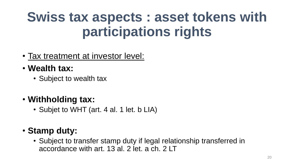### **Swiss tax aspects : asset tokens with participations rights**

- Tax treatment at investor level:
- **Wealth tax:**
	- Subject to wealth tax
- **Withholding tax:**
	- Subjet to WHT (art. 4 al. 1 let. b LIA)
- **Stamp duty:**
	- Subject to transfer stamp duty if legal relationship transferred in accordance with art. 13 al. 2 let. a ch. 2 LT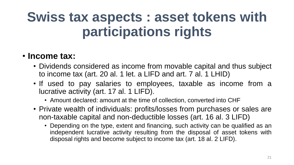### **Swiss tax aspects : asset tokens with participations rights**

#### • **Income tax:**

- Dividends considered as income from movable capital and thus subject to income tax (art. 20 al. 1 let. a LIFD and art. 7 al. 1 LHID)
- If used to pay salaries to employees, taxable as income from a lucrative activity (art. 17 al. 1 LIFD).
	- Amount declared: amount at the time of collection, converted into CHF
- Private wealth of individuals: profits/losses from purchases or sales are non-taxable capital and non-deductible losses (art. 16 al. 3 LIFD)
	- Depending on the type, extent and financing, such activity can be qualified as an independent lucrative activity resulting from the disposal of asset tokens with disposal rights and become subject to income tax (art. 18 al. 2 LIFD).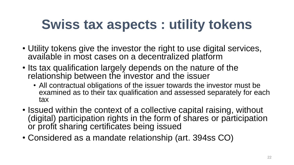- Utility tokens give the investor the right to use digital services, available in most cases on a decentralized platform
- Its tax qualification largely depends on the nature of the relationship between the investor and the issuer
	- All contractual obligations of the issuer towards the investor must be examined as to their tax qualification and assessed separately for each tax
- Issued within the context of a collective capital raising, without (digital) participation rights in the form of shares or participation or profit sharing certificates being issued
- Considered as a mandate relationship (art. 394ss CO)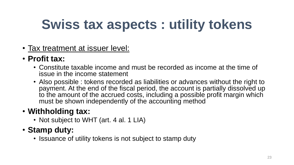- Tax treatment at issuer level:
- **Profit tax:**
	- Constitute taxable income and must be recorded as income at the time of issue in the income statement
	- Also possible : tokens recorded as liabilities or advances without the right to payment. At the end of the fiscal period, the account is partially dissolved up to the amount of the accrued costs, including a possible profit margin which must be shown independently of the accounting method

#### • **Withholding tax:**

• Not subject to WHT (art. 4 al. 1 LIA)

#### • **Stamp duty:**

• Issuance of utility tokens is not subject to stamp duty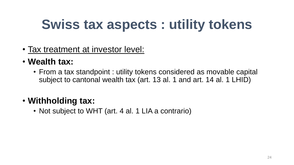- Tax treatment at investor level:
- **Wealth tax:**
	- From a tax standpoint : utility tokens considered as movable capital subject to cantonal wealth tax (art. 13 al. 1 and art. 14 al. 1 LHID)

#### • **Withholding tax:**

• Not subject to WHT (art. 4 al. 1 LIA a contrario)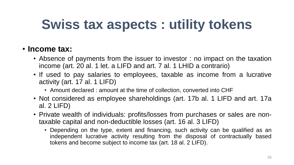#### • **Income tax:**

- Absence of payments from the issuer to investor : no impact on the taxation income (art. 20 al. 1 let. a LIFD and art. 7 al. 1 LHID a contrario)
- If used to pay salaries to employees, taxable as income from a lucrative activity (art. 17 al. 1 LIFD)
	- Amount declared : amount at the time of collection, converted into CHF
- Not considered as employee shareholdings (art. 17b al. 1 LIFD and art. 17a al. 2 LIFD)
- Private wealth of individuals: profits/losses from purchases or sales are nontaxable capital and non-deductible losses (art. 16 al. 3 LIFD)
	- Depending on the type, extent and financing, such activity can be qualified as an independent lucrative activity resulting from the disposal of contractually based tokens and become subject to income tax (art. 18 al. 2 LIFD).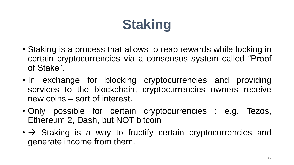# **Staking**

- Staking is a process that allows to reap rewards while locking in certain cryptocurrencies via a consensus system called "Proof of Stake".
- In exchange for blocking cryptocurrencies and providing services to the blockchain, cryptocurrencies owners receive new coins – sort of interest.
- Only possible for certain cryptocurrencies : e.g. Tezos, Ethereum 2, Dash, but NOT bitcoin
- $\cdot \rightarrow$  Staking is a way to fructify certain cryptocurrencies and generate income from them.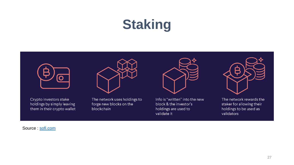# **Staking**





Crypto investors stake holdings by simply leaving them in their crypto wallet The network uses holdings to forge new blocks on the blockchain



Info is "written" into the new block & the investor's holdings are used to validate it



The network rewards the staker for allowing their holdings to be used as validators

Source : [sofi.com](https://www.sofi.com/learn/content/crypto-staking/)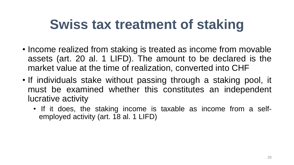### **Swiss tax treatment of staking**

- Income realized from staking is treated as income from movable assets (art. 20 al. 1 LIFD). The amount to be declared is the market value at the time of realization, converted into CHF
- If individuals stake without passing through a staking pool, it must be examined whether this constitutes an independent lucrative activity
	- If it does, the staking income is taxable as income from a selfemployed activity (art. 18 al. 1 LIFD)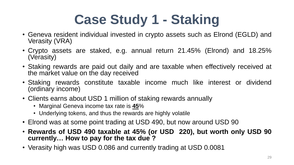# **Case Study 1 - Staking**

- Geneva resident individual invested in crypto assets such as Elrond (EGLD) and Verasity (VRA)
- Crypto assets are staked, e.g. annual return 21.45% (Elrond) and 18.25% (Verasity)
- Staking rewards are paid out daily and are taxable when effectively received at the market value on the day received
- Staking rewards constitute taxable income much like interest or dividend (ordinary income)
- Clients earns about USD 1 million of staking rewards annually
	- Marginal Geneva income tax rate is **45**%
	- Underlying tokens, and thus the rewards are highly volatile
- Elrond was at some point trading at USD 490, but now around USD 90
- **Rewards of USD 490 taxable at 45% (or USD 220), but worth only USD 90 currently… How to pay for the tax due ?**
- Verasity high was USD 0.086 and currently trading at USD 0.0081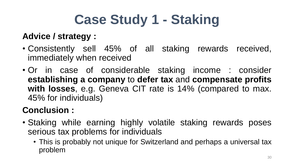# **Case Study 1 - Staking**

#### **Advice / strategy :**

- Consistently sell 45% of all staking rewards received, immediately when received
- Or in case of considerable staking income : consider **establishing a company** to **defer tax** and **compensate profits with losses**, e.g. Geneva CIT rate is 14% (compared to max. 45% for individuals)

#### **Conclusion :**

- Staking while earning highly volatile staking rewards poses serious tax problems for individuals
	- This is probably not unique for Switzerland and perhaps a universal tax problem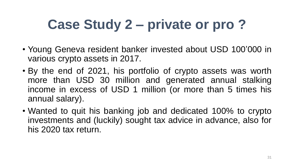- Young Geneva resident banker invested about USD 100'000 in various crypto assets in 2017.
- By the end of 2021, his portfolio of crypto assets was worth more than USD 30 million and generated annual stalking income in excess of USD 1 million (or more than 5 times his annual salary).
- Wanted to quit his banking job and dedicated 100% to crypto investments and (luckily) sought tax advice in advance, also for his 2020 tax return.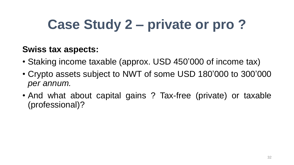#### **Swiss tax aspects:**

- Staking income taxable (approx. USD 450'000 of income tax)
- Crypto assets subject to NWT of some USD 180'000 to 300'000 *per annum.*
- And what about capital gains ? Tax-free (private) or taxable (professional)?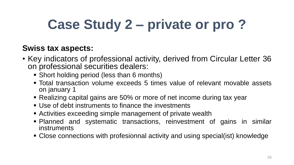#### **Swiss tax aspects:**

- Key indicators of professional activity, derived from Circular Letter 36 on professional securities dealers:
	- Short holding period (less than 6 months)
	- Total transaction volume exceeds 5 times value of relevant movable assets on january 1
	- Realizing capital gains are 50% or more of net income during tax year
	- Use of debt instruments to finance the investments
	- **EXECT** Activities exceeding simple management of private wealth
	- Planned and systematic transactions, reinvestment of gains in similar instruments
	- Close connections with profesionnal activity and using special(ist) knowledge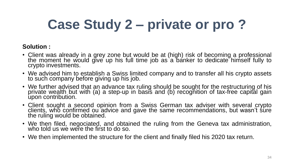#### **Solution :**

- Client was already in a grey zone but would be at (high) risk of becoming a professional the moment he would give up his full time job as a banker to dedicate himself fully to crypto investments.
- We advised him to establish a Swiss limited company and to transfer all his crypto assets to such company before giving up his job.
- We further advised that an advance tax ruling should be sought for the restructuring of his private wealth but with (a) a step-up in basis and (b) recognition of tax-free capital gain upon contribution.
- Client sought a second opinion from a Swiss German tax adviser with several crypto clients, who confirmed ou advice and gave the same recommendations, but wasn't sure the ruling would be obtained.
- We then filed, negociated, and obtained the ruling from the Geneva tax administration, who told us we were the first to do so.
- We then implemented the structure for the client and finally filed his 2020 tax return.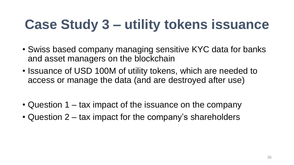## **Case Study 3 – utility tokens issuance**

- Swiss based company managing sensitive KYC data for banks and asset managers on the blockchain
- Issuance of USD 100M of utility tokens, which are needed to access or manage the data (and are destroyed after use)
- Question 1 tax impact of the issuance on the company
- Question 2 tax impact for the company's shareholders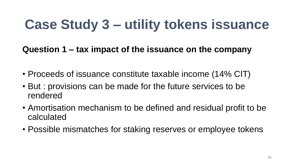### **Case Study 3 – utility tokens issuance**

**Question 1 – tax impact of the issuance on the company**

- Proceeds of issuance constitute taxable income (14% CIT)
- But : provisions can be made for the future services to be rendered
- Amortisation mechanism to be defined and residual profit to be calculated
- Possible mismatches for staking reserves or employee tokens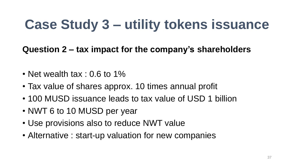### **Case Study 3 – utility tokens issuance**

**Question 2 – tax impact for the company's shareholders**

- Net wealth tax :  $0.6$  to  $1\%$
- Tax value of shares approx. 10 times annual profit
- 100 MUSD issuance leads to tax value of USD 1 billion
- NWT 6 to 10 MUSD per year
- Use provisions also to reduce NWT value
- Alternative : start-up valuation for new companies